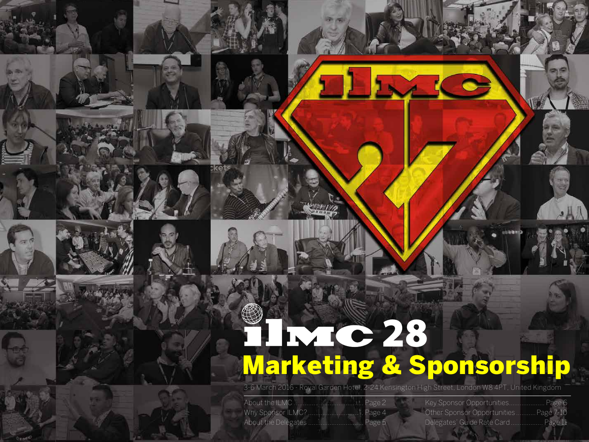## Marketing & Sponsorship 28

 $\overline{a}$ 

3-6 March 2016 - Royal Garden Hotel, 2-24 Kensington High Street, London W8 4PT, United Kingdom

About the ILMC ....................................... Page 2 Why Sponsor ILMC? ............................... Page 4 About the Delegates ............................... Page 5

Key Sponsor Opportunities.................... Page 6 Other Sponsor Opportunities ...........Page 7-10 Delegates' Guide Rate Card.................. Page 11

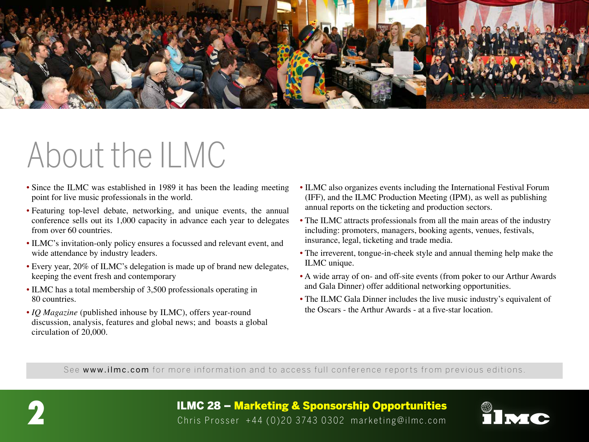

## About the ILMC

- Since the ILMC was established in 1989 it has been the leading meeting point for live music professionals in the world.
- Featuring top-level debate, networking, and unique events, the annual conference sells out its 1,000 capacity in advance each year to delegates from over 60 countries.
- ILMC's invitation-only policy ensures a focussed and relevant event, and wide attendance by industry leaders.
- Every year, 20% of ILMC's delegation is made up of brand new delegates, keeping the event fresh and contemporary
- ILMC has a total membership of 3,500 professionals operating in 80 countries.
- *IQ Magazine* (published inhouse by ILMC), offers year-round discussion, analysis, features and global news; and boasts a global circulation of 20,000.
- ILMC also organizes events including the International Festival Forum (IFF), and the ILMC Production Meeting (IPM), as well as publishing annual reports on the ticketing and production sectors.
- The ILMC attracts professionals from all the main areas of the industry including: promoters, managers, booking agents, venues, festivals, insurance, legal, ticketing and trade media.
- The irreverent, tongue-in-cheek style and annual theming help make the ILMC unique.
- A wide array of on- and off-site events (from poker to our Arthur Awards and Gala Dinner) offer additional networking opportunities.
- The ILMC Gala Dinner includes the live music industry's equivalent of the Oscars - the Arthur Awards - at a five-star location.

See www.ilmc.com for more information and to access full conference reports from previous editions.



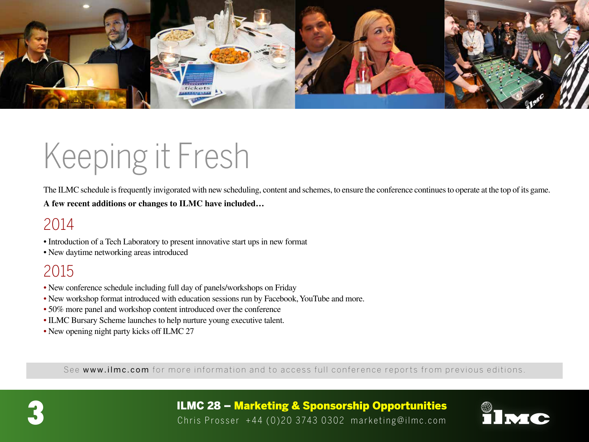

# Keeping it Fresh

The ILMC schedule is frequently invigorated with new scheduling, content and schemes, to ensure the conference continues to operate at the top of its game. **A few recent additions or changes to ILMC have included…**

### 2014

• Introduction of a Tech Laboratory to present innovative start ups in new format

• New daytime networking areas introduced

### 2015

- New conference schedule including full day of panels/workshops on Friday
- New workshop format introduced with education sessions run by Facebook, YouTube and more.
- 50% more panel and workshop content introduced over the conference
- ILMC Bursary Scheme launches to help nurture young executive talent.
- New opening night party kicks off ILMC 27

See www.ilmc.com for more information and to access full conference reports from previous editions.



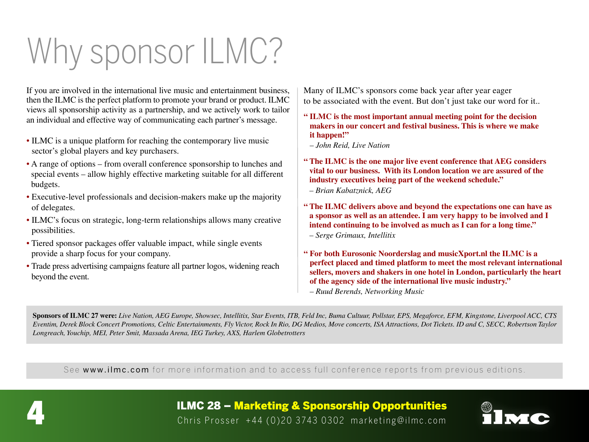# Why sponsor ILMC?

If you are involved in the international live music and entertainment business, then the ILMC is the perfect platform to promote your brand or product. ILMC views all sponsorship activity as a partnership, and we actively work to tailor an individual and effective way of communicating each partner's message.

- ILMC is a unique platform for reaching the contemporary live music sector's global players and key purchasers.
- A range of options from overall conference sponsorship to lunches and special events – allow highly effective marketing suitable for all different budgets.
- Executive-level professionals and decision-makers make up the majority of delegates.
- ILMC's focus on strategic, long-term relationships allows many creative possibilities.
- Tiered sponsor packages offer valuable impact, while single events provide a sharp focus for your company.
- Trade press advertising campaigns feature all partner logos, widening reach beyond the event.

Many of ILMC's sponsors come back year after year eager to be associated with the event. But don't just take our word for it..

- **" ILMC is the most important annual meeting point for the decision makers in our concert and festival business. This is where we make it happen!"**
	- *John Reid, Live Nation*
- **" The ILMC is the one major live event conference that AEG considers vital to our business. With its London location we are assured of the industry executives being part of the weekend schedule."**

*– Brian Kabatznick, AEG*

- **" The ILMC delivers above and beyond the expectations one can have as a sponsor as well as an attendee. I am very happy to be involved and I intend continuing to be involved as much as I can for a long time."** *– Serge Grimaux, Intellitix*
- **" For both Eurosonic Noorderslag and musicXport.nl the ILMC is a perfect placed and timed platform to meet the most relevant international sellers, movers and shakers in one hotel in London, particularly the heart of the agency side of the international live music industry."**
	- *Ruud Berends, Networking Music*

**Sponsors of ILMC 27 were:** *Live Nation, AEG Europe, Showsec, Intellitix, Star Events, ITB, Feld Inc, Buma Cultuur, Pollstar, EPS, Megaforce, EFM, Kingstone, Liverpool ACC, CTS Eventim, Derek Block Concert Promotions, Celtic Entertainments, Fly Victor, Rock In Rio, DG Medios, Move concerts, ISA Attractions, Dot Tickets. ID and C, SECC, Robertson Taylor Longreach, Youchip, MEI, Peter Smit, Massada Arena, IEG Turkey, AXS, Harlem Globetrotters*

See www.ilmc.com for more information and to access full conference reports from previous editions.



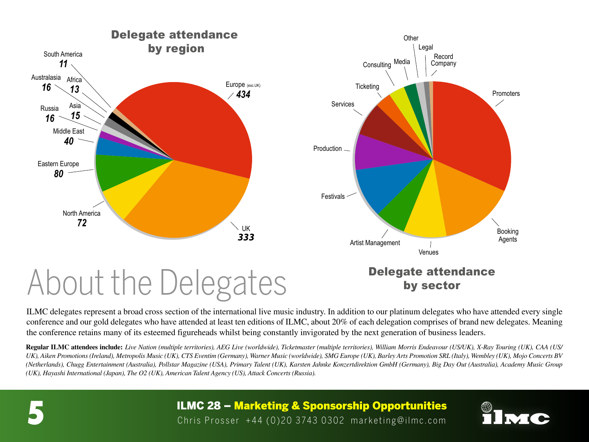

ILMC delegates represent a broad cross section of the international live music industry. In addition to our platinum delegates who have attended every single conference and our gold delegates who have attended at least ten editions of ILMC, about 20% of each delegation comprises of brand new delegates. Meaning the conference retains many of its esteemed figureheads whilst being constantly invigorated by the next generation of business leaders.

**Regular ILMC attendees include:** *Live Nation (multiple territories), AEG Live (worldwide), Ticketmaster (multiple territories), William Morris Endeavour (US/UK), X-Ray Touring (UK), CAA (US/ UK), Aiken Promotions (Ireland), Metropolis Music (UK), CTS Eventim (Germany), Warner Music (worldwide), SMG Europe (UK), Barley Arts Promotion SRL (Italy), Wembley (UK), Mojo Concerts BV (Netherlands), Chugg Entertainment (Australia), Pollstar Magazine (USA), Primary Talent (UK), Karsten Jahnke Konzertdirektion GmbH (Germany), Big Day Out (Australia), Academy Music Group (UK), Hayashi International (Japan), The O2 (UK), American Talent Agency (US), Attack Concerts (Russia).*



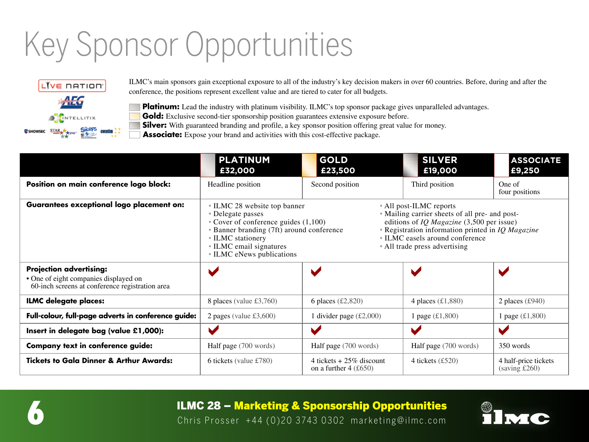# Key Sponsor Opportunities



ILMC's main sponsors gain exceptional exposure to all of the industry's key decision makers in over 60 countries. Before, during and after the conference, the positions represent excellent value and are tiered to cater for all budgets.

**Platinum:** Lead the industry with platinum visibility. ILMC's top sponsor package gives unparalleled advantages.

**Gold:** Exclusive second-tier sponsorship position guarantees extensive exposure before.

**Silver:** With guaranteed branding and profile, a key sponsor position offering great value for money.

**Associate:** Expose your brand and activities with this cost-effective package.

|                                                                                                                            | <b>PLATINUM</b><br>£32,000                                                                                                                                                                                                                                                                                                                                                                                                                                                          | <b>GOLD</b><br>£23,500                                 | <b>SILVER</b><br>£19,000               | <b>ASSOCIATE</b><br>£9,250                    |
|----------------------------------------------------------------------------------------------------------------------------|-------------------------------------------------------------------------------------------------------------------------------------------------------------------------------------------------------------------------------------------------------------------------------------------------------------------------------------------------------------------------------------------------------------------------------------------------------------------------------------|--------------------------------------------------------|----------------------------------------|-----------------------------------------------|
| Position on main conference logo block:                                                                                    | Headline position                                                                                                                                                                                                                                                                                                                                                                                                                                                                   | Second position                                        | Third position                         | One of<br>four positions                      |
| <b>Guarantees exceptional logo placement on:</b>                                                                           | • All post-ILMC reports<br>• ILMC 28 website top banner<br>• Mailing carrier sheets of all pre- and post-<br>• Delegate passes<br>• Cover of conference guides $(1,100)$<br>editions of <i>IQ Magazine</i> $(3,500$ per issue)<br>• Registration information printed in $IQ$ Magazine<br>• Banner branding (7ft) around conference<br>• ILMC easels around conference<br>• ILMC stationery<br>• ILMC email signatures<br>• All trade press advertising<br>• ILMC eNews publications |                                                        |                                        |                                               |
| <b>Projection advertising:</b><br>• One of eight companies displayed on<br>60-inch screens at conference registration area | $\blacktriangleright$                                                                                                                                                                                                                                                                                                                                                                                                                                                               | $\blacktriangleright$                                  |                                        |                                               |
| <b>ILMC delegate places:</b>                                                                                               | 8 places (value $\text{\pounds}3,760$ )                                                                                                                                                                                                                                                                                                                                                                                                                                             | 6 places $(\text{\pounds}2,820)$                       | 4 places $(\text{\textsterling}1,880)$ | 2 places $(\text{\pounds}940)$                |
| Full-colour, full-page adverts in conference guide:                                                                        | 2 pages (value $\text{\pounds}3,600$ )                                                                                                                                                                                                                                                                                                                                                                                                                                              | divider page $(\text{\pounds}2,000)$                   | 1 page $(\pounds1, 800)$               | 1 page $(\pounds1, 800)$                      |
| Insert in delegate bag (value £1,000):                                                                                     | $\blacktriangleright$                                                                                                                                                                                                                                                                                                                                                                                                                                                               | $\blacktriangleright$                                  |                                        | M                                             |
| <b>Company text in conference guide:</b>                                                                                   | Half page (700 words)                                                                                                                                                                                                                                                                                                                                                                                                                                                               | Half page (700 words)                                  | Half page (700 words)                  | 350 words                                     |
| <b>Tickets to Gala Dinner &amp; Arthur Awards:</b>                                                                         | 6 tickets (value £780)                                                                                                                                                                                                                                                                                                                                                                                                                                                              | 4 tickets + $25\%$ discount<br>on a further $4$ (£650) | 4 tickets $(\text{\pounds}520)$        | 4 half-price tickets<br>$(saving \pounds260)$ |

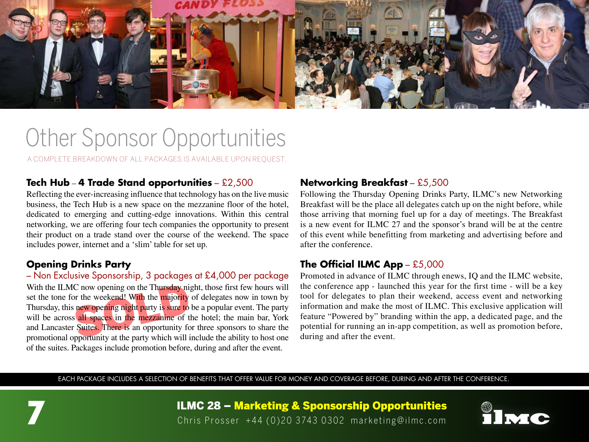

A COMPLETE BREAKDOWN OF ALL PACKAGES IS AVAILABLE UPON REQUEST.

#### **Tech Hub** – **4 Trade Stand opportunities** – £2,500

Reflecting the ever-increasing influence that technology has on the live music business, the Tech Hub is a new space on the mezzanine floor of the hotel, dedicated to emerging and cutting-edge innovations. Within this central networking, we are offering four tech companies the opportunity to present their product on a trade stand over the course of the weekend. The space includes power, internet and a 'slim' table for set up.

#### **Opening Drinks Party**

C now opening on the Thursday night<br>or the weekend! With the majority<br>s new opening night party is sure to<br>s all spaces in the mezzanine of the<br>Suites. There is an opportunity for<br>proortunity at the party which will i – Non Exclusive Sponsorship, 3 packages at £4,000 per package With the ILMC now opening on the Thursday night, those first few hours will set the tone for the weekend! With the majority of delegates now in town by Thursday, this new opening night party is sure to be a popular event. The party will be across all spaces in the mezzanine of the hotel; the main bar, York and Lancaster Suites. There is an opportunity for three sponsors to share the promotional opportunity at the party which will include the ability to host one of the suites. Packages include promotion before, during and after the event.

#### **Networking Breakfast** – £5,500

Following the Thursday Opening Drinks Party, ILMC's new Networking Breakfast will be the place all delegates catch up on the night before, while those arriving that morning fuel up for a day of meetings. The Breakfast is a new event for ILMC 27 and the sponsor's brand will be at the centre of this event while benefitting from marketing and advertising before and after the conference.

#### **The Official ILMC App** – £5,000

Promoted in advance of ILMC through enews, IQ and the ILMC website, the conference app - launched this year for the first time - will be a key tool for delegates to plan their weekend, access event and networking information and make the most of ILMC. This exclusive application will feature "Powered by" branding within the app, a dedicated page, and the potential for running an in-app competition, as well as promotion before, during and after the event.

EACH PACKAGE INCLUDES A SELECTION OF BENEFITS THAT OFFER VALUE FOR MONEY AND COVERAGE BEFORE, DURING AND AFTER THE CONFERENCE.

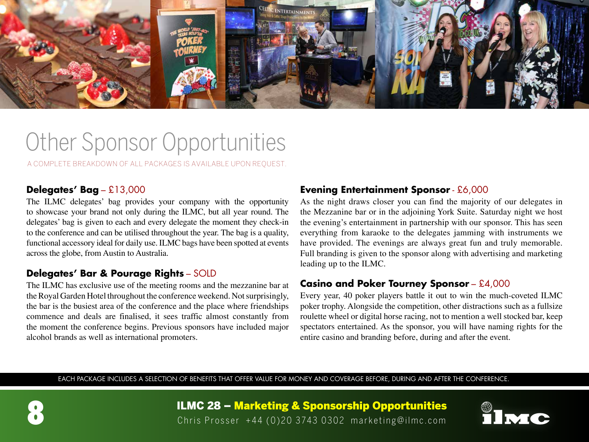

A COMPLETE BREAKDOWN OF ALL PACKAGES IS AVAILABLE UPON REQUEST.

#### **Delegates' Bag** – £13,000

The ILMC delegates' bag provides your company with the opportunity to showcase your brand not only during the ILMC, but all year round. The delegates' bag is given to each and every delegate the moment they check-in to the conference and can be utilised throughout the year. The bag is a quality, functional accessory ideal for daily use. ILMC bags have been spotted at events across the globe, from Austin to Australia.

#### **Delegates' Bar & Pourage Rights** – SOLD

The ILMC has exclusive use of the meeting rooms and the mezzanine bar at the Royal Garden Hotel throughout the conference weekend. Not surprisingly, the bar is the busiest area of the conference and the place where friendships commence and deals are finalised, it sees traffic almost constantly from the moment the conference begins. Previous sponsors have included major alcohol brands as well as international promoters.

#### **Evening Entertainment Sponsor** - £6,000

As the night draws closer you can find the majority of our delegates in the Mezzanine bar or in the adjoining York Suite. Saturday night we host the evening's entertainment in partnership with our sponsor. This has seen everything from karaoke to the delegates jamming with instruments we have provided. The evenings are always great fun and truly memorable. Full branding is given to the sponsor along with advertising and marketing leading up to the ILMC.

#### **Casino and Poker Tourney Sponsor** – £4,000

Every year, 40 poker players battle it out to win the much-coveted ILMC poker trophy. Alongside the competition, other distractions such as a fullsize roulette wheel or digital horse racing, not to mention a well stocked bar, keep spectators entertained. As the sponsor, you will have naming rights for the entire casino and branding before, during and after the event.

EACH PACKAGE INCLUDES A SELECTION OF BENEFITS THAT OFFER VALUE FOR MONEY AND COVERAGE BEFORE, DURING AND AFTER THE CONFERENCE.



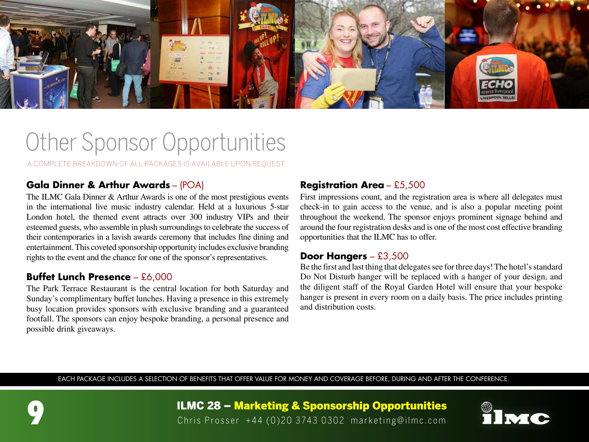

A COMPLETE BREAKDOWN OF ALL PACKAGES IS AVAILABLE UPON REQUEST.

#### **Gala Dinner & Arthur Awards** – (POA)

The ILMC Gala Dinner & Arthur Awards is one of the most prestigious events in the international live music industry calendar. Held at a luxurious 5-star London hotel, the themed event attracts over 300 industry VIPs and their esteemed guests, who assemble in plush surroundings to celebrate the success of their contemporaries in a lavish awards ceremony that includes fine dining and entertainment. This coveted sponsorship opportunity includes exclusive branding rights to the event and the chance for one of the sponsor's representatives.

#### **Buffet Lunch Presence** – £6,000

The Park Terrace Restaurant is the central location for both Saturday and Sunday's complimentary buffet lunches. Having a presence in this extremely busy location provides sponsors with exclusive branding and a guaranteed footfall. The sponsors can enjoy bespoke branding, a personal presence and possible drink giveaways.

#### **Registration Area** – £5,500

First impressions count, and the registration area is where all delegates must check-in to gain access to the venue, and is also a popular meeting point throughout the weekend. The sponsor enjoys prominent signage behind and around the four registration desks and is one of the most cost effective branding opportunities that the ILMC has to offer.

#### **Door Hangers** – £3,500

Be the first and last thing that delegates see for three days! The hotel's standard Do Not Disturb hanger will be replaced with a hanger of your design, and the diligent staff of the Royal Garden Hotel will ensure that your bespoke hanger is present in every room on a daily basis. The price includes printing and distribution costs.

EACH PACKAGE INCLUDES A SELECTION OF BENEFITS THAT OFFER VALUE FOR MONEY AND COVERAGE BEFORE, DURING AND AFTER THE CONFERENCE.



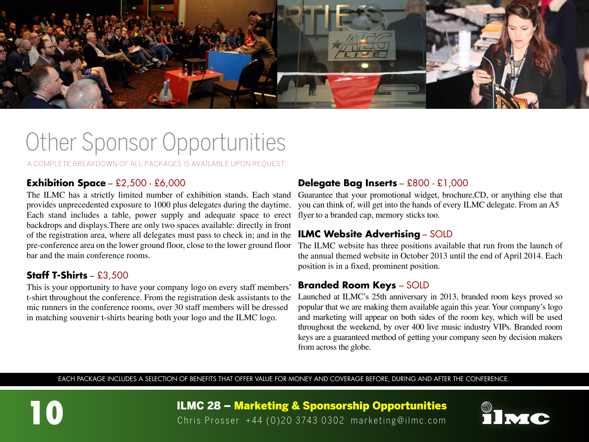

A COMPLETE BREAKDOWN OF ALL PACKAGES IS AVAILABLE UPON REQUEST.

#### **Exhibition Space** – £2,500 - £6,000

The ILMC has a strictly limited number of exhibition stands. Each stand provides unprecedented exposure to 1000 plus delegates during the daytime. Each stand includes a table, power supply and adequate space to erect backdrops and displays.There are only two spaces available: directly in front of the registration area, where all delegates must pass to check in; and in the pre-conference area on the lower ground floor, close to the lower ground floor bar and the main conference rooms.

#### **Staff T-Shirts** – £3,500

This is your opportunity to have your company logo on every staff members' t-shirt throughout the conference. From the registration desk assistants to the mic runners in the conference rooms, over 30 staff members will be dressed in matching souvenir t-shirts bearing both your logo and the ILMC logo.

#### **Delegate Bag Inserts** – £800 - £1,000

Guarantee that your promotional widget, brochure,CD, or anything else that you can think of, will get into the hands of every ILMC delegate. From an A5 flyer to a branded cap, memory sticks too.

#### **ILMC Website Advertising** – SOLD

The ILMC website has three positions available that run from the launch of the annual themed website in October 2013 until the end of April 2014. Each position is in a fixed, prominent position.

#### **Branded Room Keys** – SOLD

Launched at ILMC's 25th anniversary in 2013, branded room keys proved so popular that we are making them available again this year. Your company's logo and marketing will appear on both sides of the room key, which will be used throughout the weekend, by over 400 live music industry VIPs. Branded room keys are a guaranteed method of getting your company seen by decision makers from across the globe.

EACH PACKAGE INCLUDES A SELECTION OF BENEFITS THAT OFFER VALUE FOR MONEY AND COVERAGE BEFORE, DURING AND AFTER THE CONFERENCE.



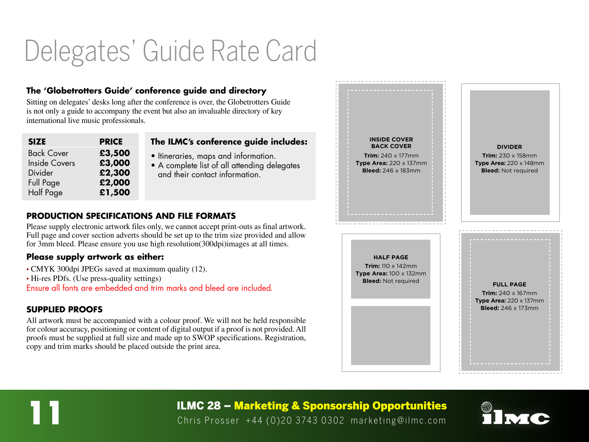## Delegates' Guide Rate Card

#### **The 'Globetrotters Guide' conference guide and directory**

Sitting on delegates' desks long after the conference is over, the Globetrotters Guide is not only a guide to accompany the event but also an invaluable directory of key international live music professionals.

| <b>SIZE</b>          | <b>PRICE</b> |
|----------------------|--------------|
| <b>Back Cover</b>    | £3,500       |
| <b>Inside Covers</b> | £3,000       |
| Divider              | £2,300       |
| <b>Full Page</b>     | £2,000       |
| <b>Half Page</b>     | £1,500       |

#### **The ILMC's conference guide includes:**

- Itineraries, maps and information.
- A complete list of all attending delegates and their contact information.

#### **PRODUCTION SPECIFICATIONS AND FILE FORMATS**

Please supply electronic artwork files only, we cannot accept print-outs as final artwork. Full page and cover section adverts should be set up to the trim size provided and allow for 3mm bleed. Please ensure you use high resolution(300dpi)images at all times.

#### **Please supply artwork as either:**

- CMYK 300dpi JPEGs saved at maximum quality (12).
- Hi-res PDfs. (Use press-quality settings)

Ensure all fonts are embedded and trim marks and bleed are included*.*

#### **SUPPLIED PROOFS**

All artwork must be accompanied with a colour proof. We will not be held responsible for colour accuracy, positioning or content of digital output if a proof is not provided. All proofs must be supplied at full size and made up to SWOP specifications. Registration, copy and trim marks should be placed outside the print area.